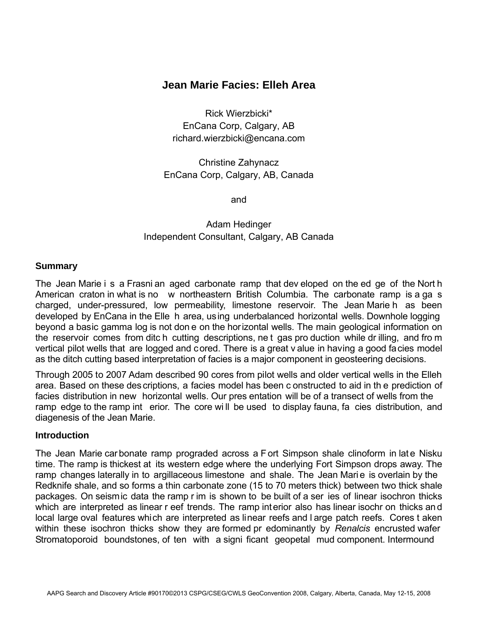# **Jean Marie Facies: Elleh Area**

Rick Wierzbicki\* EnCana Corp, Calgary, AB richard.wierzbicki@encana.com

Christine Zahynacz EnCana Corp, Calgary, AB, Canada

and

# Adam Hedinger Independent Consultant, Calgary, AB Canada

### **Summary**

The Jean Marie i s a Frasni an aged carbonate ramp that dev eloped on the ed ge of the Nort h American craton in what is no w northeastern British Columbia. The carbonate ramp is a ga s charged, under-pressured, low permeability, limestone reservoir. The Jean Marie h as been developed by EnCana in the Elle h area, using underbalanced horizontal wells. Downhole logging beyond a basic gamma log is not don e on the horizontal wells. The main geological information on the reservoir comes from ditc h cutting descriptions, ne t gas pro duction while dr illing, and fro m vertical pilot wells that are logged and cored. There is a great v alue in having a good facies model as the ditch cutting based interpretation of facies is a major component in geosteering decisions.

Through 2005 to 2007 Adam described 90 cores from pilot wells and older vertical wells in the Elleh area. Based on these des criptions, a facies model has been c onstructed to aid in th e prediction of facies distribution in new horizontal wells. Our pres entation will be of a transect of wells from the ramp edge to the ramp int erior. The core wi ll be used to display fauna, fa cies distribution, and diagenesis of the Jean Marie.

#### **Introduction**

The Jean Marie car bonate ramp prograded across a F ort Simpson shale clinoform in late Nisku time. The ramp is thickest at its western edge where the underlying Fort Simpson drops away. The ramp changes laterally in to argillaceous limestone and shale. The Jean Mari e is overlain by the Redknife shale, and so forms a thin carbonate zone (15 to 70 meters thick) between two thick shale packages. On seismic data the ramp r im is shown to be built of a ser ies of linear isochron thicks which are interpreted as linear r eef trends. The ramp interior also has linear isochr on thicks an d local large oval features which are interpreted as linear reefs and l arge patch reefs. Cores t aken within these isochron thicks show they are formed pr edominantly by *Renalcis* encrusted wafer Stromatoporoid boundstones, of ten with a signi ficant geopetal mud component. Intermound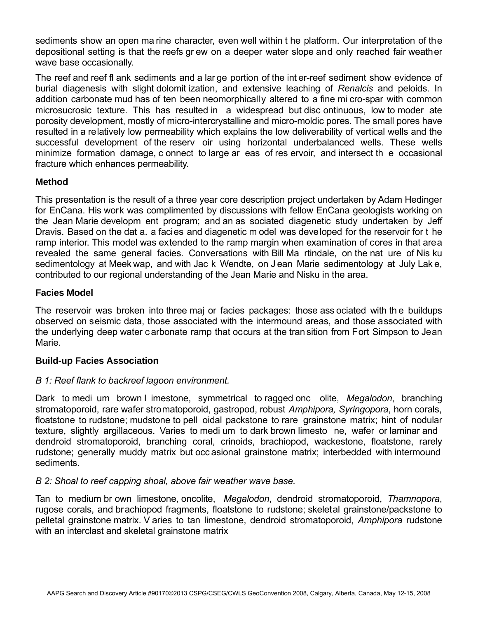sediments show an open ma rine character, even well within t he platform. Our interpretation of the depositional setting is that the reefs gr ew on a deeper water slope and only reached fair weather wave base occasionally.

The reef and reef fl ank sediments and a lar ge portion of the int er-reef sediment show evidence of burial diagenesis with slight dolomit ization, and extensive leaching of *Renalcis* and peloids. In addition carbonate mud has of ten been neomorphically altered to a fine mi cro-spar with common microsucrosic texture. This has resulted in a widespread but disc ontinuous, low to moder ate porosity development, mostly of micro-intercrystalline and micro-moldic pores. The small pores have resulted in a relatively low permeability which explains the low deliverability of vertical wells and the successful development of the reserv oir using horizontal underbalanced wells. These wells minimize formation damage, c onnect to large ar eas of res ervoir, and intersect th e occasional fracture which enhances permeability.

# **Method**

This presentation is the result of a three year core description project undertaken by Adam Hedinger for EnCana. His work was complimented by discussions with fellow EnCana geologists working on the Jean Marie developm ent program; and an as sociated diagenetic study undertaken by Jeff Dravis. Based on the dat a. a facies and diagenetic m odel was developed for the reservoir for t he ramp interior. This model was extended to the ramp margin when examination of cores in that area revealed the same general facies. Conversations with Bill Ma rtindale, on the nat ure of Nis ku sedimentology at Meek wap, and with Jac k Wendte, on J ean Marie sedimentology at July Lake, contributed to our regional understanding of the Jean Marie and Nisku in the area.

# **Facies Model**

The reservoir was broken into three maj or facies packages: those ass ociated with th e buildups observed on seismic data, those associated with the intermound areas, and those associated with the underlying deep water c arbonate ramp that occurs at the tran sition from Fort Simpson to Jean Marie.

# **Build-up Facies Association**

# *B 1: Reef flank to backreef lagoon environment.*

Dark to medi um brown l imestone, symmetrical to ragged onc olite, *Megalodon*, branching stromatoporoid, rare wafer stromatoporoid, gastropod, robust *Amphipora, Syringopora*, horn corals, floatstone to rudstone; mudstone to pell oidal packstone to rare grainstone matrix; hint of nodular texture, slightly argillaceous. Varies to medi um to dark brown limesto ne, wafer or laminar and dendroid stromatoporoid, branching coral, crinoids, brachiopod, wackestone, floatstone, rarely rudstone; generally muddy matrix but occ asional grainstone matrix; interbedded with intermound sediments.

# *B 2: Shoal to reef capping shoal, above fair weather wave base.*

Tan to medium br own limestone, oncolite, *Megalodon*, dendroid stromatoporoid, *Thamnopora*, rugose corals, and brachiopod fragments, floatstone to rudstone; skeletal grainstone/packstone to pelletal grainstone matrix. V aries to tan limestone, dendroid stromatoporoid, *Amphipora* rudstone with an interclast and skeletal grainstone matrix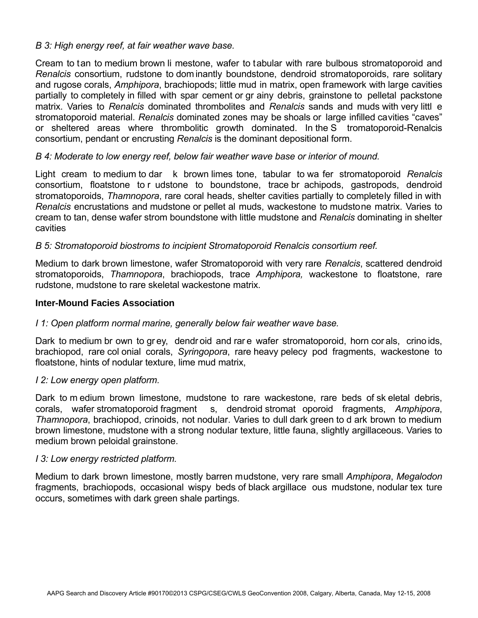### *B 3: High energy reef, at fair weather wave base.*

Cream to tan to medium brown li mestone, wafer to tabular with rare bulbous stromatoporoid and *Renalcis* consortium, rudstone to dom inantly boundstone, dendroid stromatoporoids, rare solitary and rugose corals, *Amphipora*, brachiopods; little mud in matrix, open framework with large cavities partially to completely in filled with spar cement or gr ainy debris, grainstone to pelletal packstone matrix. Varies to *Renalcis* dominated thrombolites and *Renalcis* sands and muds with very littl e stromatoporoid material. *Renalcis* dominated zones may be shoals or large infilled cavities "caves" or sheltered areas where thrombolitic growth dominated. In the S tromatoporoid-Renalcis consortium, pendant or encrusting *Renalcis* is the dominant depositional form.

### *B 4: Moderate to low energy reef, below fair weather wave base or interior of mound.*

Light cream to medium to dar k brown limes tone, tabular to wa fer stromatoporoid *Renalcis* consortium, floatstone to r udstone to boundstone, trace br achipods, gastropods, dendroid stromatoporoids, *Thamnopora*, rare coral heads, shelter cavities partially to completely filled in with *Renalcis* encrustations and mudstone or pellet al muds, wackestone to mudstone matrix. Varies to cream to tan, dense wafer strom boundstone with little mudstone and *Renalcis* dominating in shelter cavities

### *B 5: Stromatoporoid biostroms to incipient Stromatoporoid Renalcis consortium reef.*

Medium to dark brown limestone, wafer Stromatoporoid with very rare *Renalcis*, scattered dendroid stromatoporoids, *Thamnopora*, brachiopods, trace *Amphipora,* wackestone to floatstone, rare rudstone, mudstone to rare skeletal wackestone matrix.

#### **Inter-Mound Facies Association**

#### *I 1: Open platform normal marine, generally below fair weather wave base.*

Dark to medium br own to gr ey, dendr oid and rar e wafer stromatoporoid, horn cor als, crino ids, brachiopod, rare col onial corals, *Syringopora*, rare heavy pelecy pod fragments, wackestone to floatstone, hints of nodular texture, lime mud matrix,

#### *I 2: Low energy open platform.*

Dark to m edium brown limestone, mudstone to rare wackestone, rare beds of sk eletal debris, corals, wafer stromatoporoid fragment s, dendroid stromat oporoid fragments, *Amphipora*, *Thamnopora*, brachiopod, crinoids, not nodular. Varies to dull dark green to d ark brown to medium brown limestone, mudstone with a strong nodular texture, little fauna, slightly argillaceous. Varies to medium brown peloidal grainstone.

#### *I 3: Low energy restricted platform.*

Medium to dark brown limestone, mostly barren mudstone, very rare small *Amphipora*, *Megalodon*  fragments, brachiopods, occasional wispy beds of black argillace ous mudstone, nodular tex ture occurs, sometimes with dark green shale partings.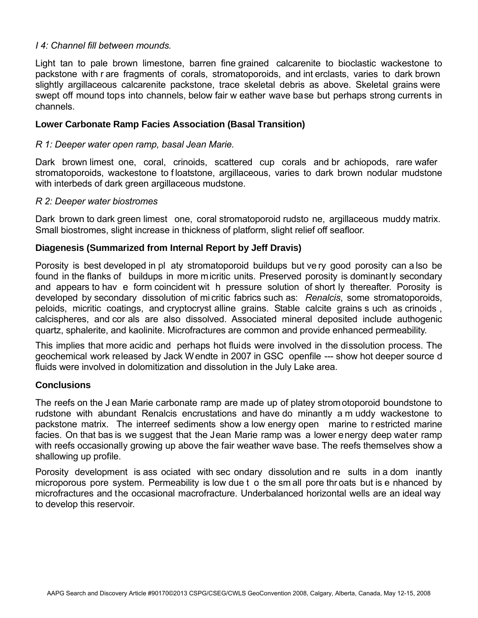### *I 4: Channel fill between mounds.*

Light tan to pale brown limestone, barren fine grained calcarenite to bioclastic wackestone to packstone with r are fragments of corals, stromatoporoids, and int erclasts, varies to dark brown slightly argillaceous calcarenite packstone, trace skeletal debris as above. Skeletal grains were swept off mound tops into channels, below fair w eather wave base but perhaps strong currents in channels.

### **Lower Carbonate Ramp Facies Association (Basal Transition)**

#### *R 1: Deeper water open ramp, basal Jean Marie.*

Dark brown limest one, coral, crinoids, scattered cup corals and br achiopods, rare wafer stromatoporoids, wackestone to floatstone, argillaceous, varies to dark brown nodular mudstone with interbeds of dark green argillaceous mudstone.

#### *R 2: Deeper water biostromes*

Dark brown to dark green limest one, coral stromatoporoid rudsto ne, argillaceous muddy matrix. Small biostromes, slight increase in thickness of platform, slight relief off seafloor.

#### **Diagenesis (Summarized from Internal Report by Jeff Dravis)**

Porosity is best developed in pl aty stromatoporoid buildups but ve ry good porosity can a lso be found in the flanks of buildups in more micritic units. Preserved porosity is dominantly secondary and appears to hav e form coincident wit h pressure solution of short ly thereafter. Porosity is developed by secondary dissolution of mi critic fabrics such as: *Renalcis*, some stromatoporoids, peloids, micritic coatings, and cryptocryst alline grains. Stable calcite grains s uch as crinoids , calcispheres, and cor als are also dissolved. Associated mineral deposited include authogenic quartz, sphalerite, and kaolinite. Microfractures are common and provide enhanced permeability.

This implies that more acidic and perhaps hot fluids were involved in the dissolution process. The geochemical work released by Jack Wendte in 2007 in GSC openfile --- show hot deeper source d fluids were involved in dolomitization and dissolution in the July Lake area.

#### **Conclusions**

The reefs on the J ean Marie carbonate ramp are made up of platey stromotoporoid boundstone to rudstone with abundant Renalcis encrustations and have do minantly a m uddy wackestone to packstone matrix. The interreef sediments show a low energy open marine to r estricted marine facies. On that bas is we suggest that the Jean Marie ramp was a lower energy deep water ramp with reefs occasionally growing up above the fair weather wave base. The reefs themselves show a shallowing up profile.

Porosity development is ass ociated with sec ondary dissolution and re sults in a dom inantly microporous pore system. Permeability is low due t o the sm all pore thr oats but is e nhanced by microfractures and the occasional macrofracture. Underbalanced horizontal wells are an ideal way to develop this reservoir.